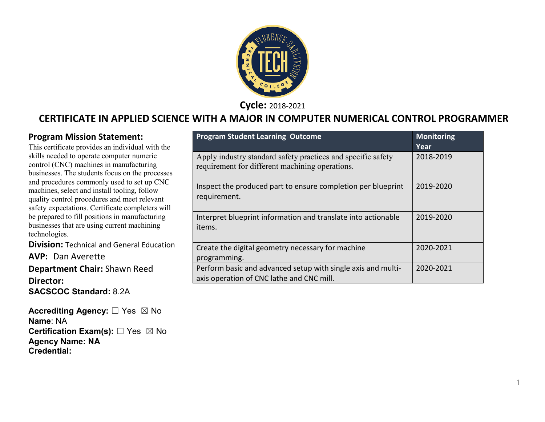

**Cycle:** 2018-2021

#### **CERTIFICATE IN APPLIED SCIENCE WITH A MAJOR IN COMPUTER NUMERICAL CONTROL PROGRAMMER**

#### **Program Mission Statement:**

This certificate provides an individual with the skills needed to operate computer numeric control (CNC) machines in manufacturing businesses. The students focus on the processes and procedures commonly used to set up CNC machines, select and install tooling, follow quality control procedures and meet relevant safety expectations. Certificate completers will be prepared to fill positions in manufacturing businesses that are using current machining technologies.

**Division: Technical and General Education** 

**AVP:** Dan Averette **Department Chair:** Shawn Reed **Director: SACSCOC Standard:** 8.2A

**Accrediting Agency:** ☐ Yes ☒ No **Name**: NA **Certification Exam(s):** ☐ Yes ☒ No **Agency Name: NA Credential:**

| <b>Program Student Learning Outcome</b>                                                                         | <b>Monitoring</b><br>Year |
|-----------------------------------------------------------------------------------------------------------------|---------------------------|
| Apply industry standard safety practices and specific safety<br>requirement for different machining operations. | 2018-2019                 |
| Inspect the produced part to ensure completion per blueprint<br>requirement.                                    | 2019-2020                 |
| Interpret blueprint information and translate into actionable<br>items.                                         | 2019-2020                 |
| Create the digital geometry necessary for machine<br>programming.                                               | 2020-2021                 |
| Perform basic and advanced setup with single axis and multi-<br>axis operation of CNC lathe and CNC mill.       | 2020-2021                 |

1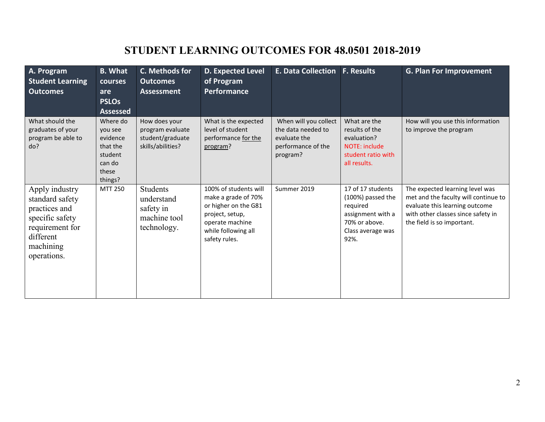# **STUDENT LEARNING OUTCOMES FOR 48.0501 2018-2019**

| A. Program<br><b>Student Learning</b><br><b>Outcomes</b>                                                                          | <b>B.</b> What<br><b>courses</b><br>are<br><b>PSLOs</b><br><b>Assessed</b>           | <b>C. Methods for</b><br><b>Outcomes</b><br><b>Assessment</b>              | D. Expected Level<br>of Program<br><b>Performance</b>                                                                                              | E. Data Collection   F. Results                                                               |                                                                                                                       | <b>G. Plan For Improvement</b>                                                                                                                                                |
|-----------------------------------------------------------------------------------------------------------------------------------|--------------------------------------------------------------------------------------|----------------------------------------------------------------------------|----------------------------------------------------------------------------------------------------------------------------------------------------|-----------------------------------------------------------------------------------------------|-----------------------------------------------------------------------------------------------------------------------|-------------------------------------------------------------------------------------------------------------------------------------------------------------------------------|
| What should the<br>graduates of your<br>program be able to<br>do?                                                                 | Where do<br>you see<br>evidence<br>that the<br>student<br>can do<br>these<br>things? | How does your<br>program evaluate<br>student/graduate<br>skills/abilities? | What is the expected<br>level of student<br>performance for the<br>program?                                                                        | When will you collect<br>the data needed to<br>evaluate the<br>performance of the<br>program? | What are the<br>results of the<br>evaluation?<br><b>NOTE: include</b><br>student ratio with<br>all results.           | How will you use this information<br>to improve the program                                                                                                                   |
| Apply industry<br>standard safety<br>practices and<br>specific safety<br>requirement for<br>different<br>machining<br>operations. | MTT 250                                                                              | <b>Students</b><br>understand<br>safety in<br>machine tool<br>technology.  | 100% of students will<br>make a grade of 70%<br>or higher on the G81<br>project, setup,<br>operate machine<br>while following all<br>safety rules. | Summer 2019                                                                                   | 17 of 17 students<br>(100%) passed the<br>required<br>assignment with a<br>70% or above.<br>Class average was<br>92%. | The expected learning level was<br>met and the faculty will continue to<br>evaluate this learning outcome<br>with other classes since safety in<br>the field is so important. |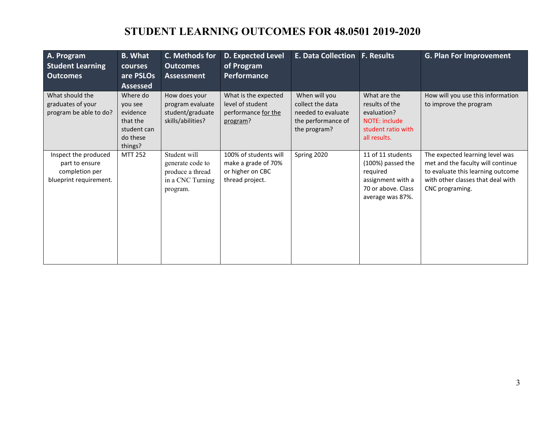# **STUDENT LEARNING OUTCOMES FOR 48.0501 2019-2020**

| A. Program<br><b>Student Learning</b><br><b>Outcomes</b>                           | <b>B. What</b><br><b>courses</b><br>are PSLOs<br><b>Assessed</b>                  | C. Methods for<br><b>Outcomes</b><br><b>Assessment</b>                               | <b>D. Expected Level</b><br>of Program<br><b>Performance</b>                        | <b>E. Data Collection</b>                                                                     | <b>F. Results</b>                                                                                                 | <b>G. Plan For Improvement</b>                                                                                                                                    |
|------------------------------------------------------------------------------------|-----------------------------------------------------------------------------------|--------------------------------------------------------------------------------------|-------------------------------------------------------------------------------------|-----------------------------------------------------------------------------------------------|-------------------------------------------------------------------------------------------------------------------|-------------------------------------------------------------------------------------------------------------------------------------------------------------------|
| What should the<br>graduates of your<br>program be able to do?                     | Where do<br>you see<br>evidence<br>that the<br>student can<br>do these<br>things? | How does your<br>program evaluate<br>student/graduate<br>skills/abilities?           | What is the expected<br>level of student<br>performance for the<br>program?         | When will you<br>collect the data<br>needed to evaluate<br>the performance of<br>the program? | What are the<br>results of the<br>evaluation?<br>NOTE: include<br>student ratio with<br>all results.              | How will you use this information<br>to improve the program                                                                                                       |
| Inspect the produced<br>part to ensure<br>completion per<br>blueprint requirement. | <b>MTT 252</b>                                                                    | Student will<br>generate code to<br>produce a thread<br>in a CNC Turning<br>program. | 100% of students will<br>make a grade of 70%<br>or higher on CBC<br>thread project. | Spring 2020                                                                                   | 11 of 11 students<br>(100%) passed the<br>required<br>assignment with a<br>70 or above. Class<br>average was 87%. | The expected learning level was<br>met and the faculty will continue<br>to evaluate this learning outcome<br>with other classes that deal with<br>CNC programing. |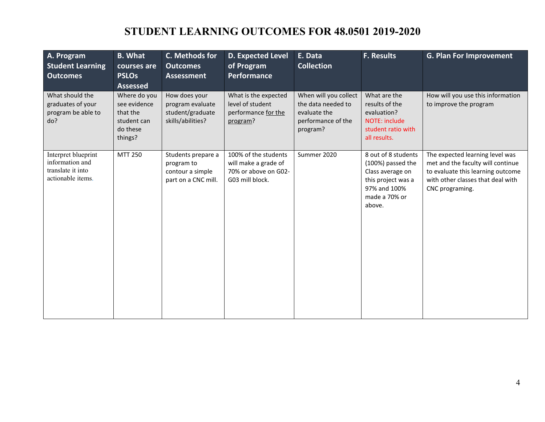# **STUDENT LEARNING OUTCOMES FOR 48.0501 2019-2020**

| A. Program<br><b>Student Learning</b><br><b>Outcomes</b>                         | <b>B.</b> What<br>courses are<br><b>PSLOs</b><br><b>Assessed</b>               | C. Methods for<br><b>Outcomes</b><br><b>Assessment</b>                      | <b>D. Expected Level</b><br>of Program<br>Performance                                   | E. Data<br><b>Collection</b>                                                                  | <b>F. Results</b>                                                                                                             | <b>G. Plan For Improvement</b>                                                                                                                                    |
|----------------------------------------------------------------------------------|--------------------------------------------------------------------------------|-----------------------------------------------------------------------------|-----------------------------------------------------------------------------------------|-----------------------------------------------------------------------------------------------|-------------------------------------------------------------------------------------------------------------------------------|-------------------------------------------------------------------------------------------------------------------------------------------------------------------|
| What should the<br>graduates of your<br>program be able to<br>do?                | Where do you<br>see evidence<br>that the<br>student can<br>do these<br>things? | How does your<br>program evaluate<br>student/graduate<br>skills/abilities?  | What is the expected<br>level of student<br>performance for the<br>program?             | When will you collect<br>the data needed to<br>evaluate the<br>performance of the<br>program? | What are the<br>results of the<br>evaluation?<br><b>NOTE: include</b><br>student ratio with<br>all results.                   | How will you use this information<br>to improve the program                                                                                                       |
| Interpret blueprint<br>information and<br>translate it into<br>actionable items. | <b>MTT 250</b>                                                                 | Students prepare a<br>program to<br>contour a simple<br>part on a CNC mill. | 100% of the students<br>will make a grade of<br>70% or above on G02-<br>G03 mill block. | Summer 2020                                                                                   | 8 out of 8 students<br>(100%) passed the<br>Class average on<br>this project was a<br>97% and 100%<br>made a 70% or<br>above. | The expected learning level was<br>met and the faculty will continue<br>to evaluate this learning outcome<br>with other classes that deal with<br>CNC programing. |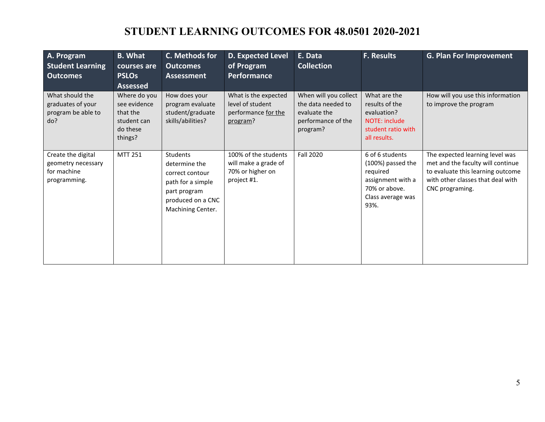# **STUDENT LEARNING OUTCOMES FOR 48.0501 2020-2021**

| A. Program<br><b>Student Learning</b><br><b>Outcomes</b>                | <b>B.</b> What<br>courses are<br><b>PSLOs</b><br><b>Assessed</b>               | C. Methods for<br><b>Outcomes</b><br><b>Assessment</b>                                                                      | <b>D. Expected Level</b><br>of Program<br>Performance                           | E. Data<br><b>Collection</b>                                                                  | <b>F. Results</b>                                                                                                   | <b>G. Plan For Improvement</b>                                                                                                                                    |
|-------------------------------------------------------------------------|--------------------------------------------------------------------------------|-----------------------------------------------------------------------------------------------------------------------------|---------------------------------------------------------------------------------|-----------------------------------------------------------------------------------------------|---------------------------------------------------------------------------------------------------------------------|-------------------------------------------------------------------------------------------------------------------------------------------------------------------|
| What should the<br>graduates of your<br>program be able to<br>do?       | Where do you<br>see evidence<br>that the<br>student can<br>do these<br>things? | How does your<br>program evaluate<br>student/graduate<br>skills/abilities?                                                  | What is the expected<br>level of student<br>performance for the<br>program?     | When will you collect<br>the data needed to<br>evaluate the<br>performance of the<br>program? | What are the<br>results of the<br>evaluation?<br><b>NOTE: include</b><br>student ratio with<br>all results.         | How will you use this information<br>to improve the program                                                                                                       |
| Create the digital<br>geometry necessary<br>for machine<br>programming. | <b>MTT 251</b>                                                                 | Students<br>determine the<br>correct contour<br>path for a simple<br>part program<br>produced on a CNC<br>Machining Center. | 100% of the students<br>will make a grade of<br>70% or higher on<br>project #1. | <b>Fall 2020</b>                                                                              | 6 of 6 students<br>(100%) passed the<br>required<br>assignment with a<br>70% or above.<br>Class average was<br>93%. | The expected learning level was<br>met and the faculty will continue<br>to evaluate this learning outcome<br>with other classes that deal with<br>CNC programing. |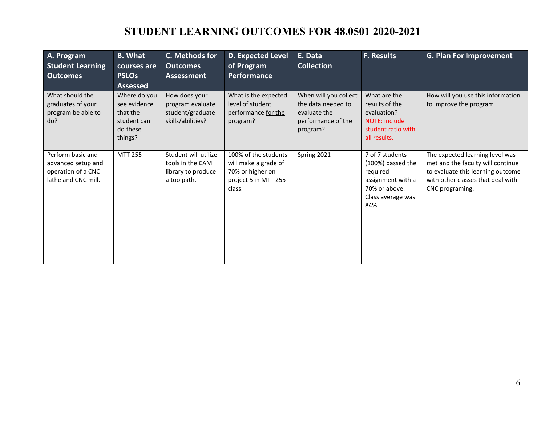# **STUDENT LEARNING OUTCOMES FOR 48.0501 2020-2021**

| A. Program<br><b>Student Learning</b><br>Outcomes                                    | <b>B.</b> What<br>courses are<br><b>PSLOs</b><br><b>Assessed</b>               | C. Methods for<br><b>Outcomes</b><br><b>Assessment</b>                        | <b>D. Expected Level</b><br>of Program<br>Performance                                              | E. Data<br><b>Collection</b>                                                                  | <b>F. Results</b>                                                                                                   | <b>G. Plan For Improvement</b>                                                                                                                                    |
|--------------------------------------------------------------------------------------|--------------------------------------------------------------------------------|-------------------------------------------------------------------------------|----------------------------------------------------------------------------------------------------|-----------------------------------------------------------------------------------------------|---------------------------------------------------------------------------------------------------------------------|-------------------------------------------------------------------------------------------------------------------------------------------------------------------|
| What should the<br>graduates of your<br>program be able to<br>do?                    | Where do you<br>see evidence<br>that the<br>student can<br>do these<br>things? | How does your<br>program evaluate<br>student/graduate<br>skills/abilities?    | What is the expected<br>level of student<br>performance for the<br>program?                        | When will you collect<br>the data needed to<br>evaluate the<br>performance of the<br>program? | What are the<br>results of the<br>evaluation?<br>NOTE: include<br>student ratio with<br>all results.                | How will you use this information<br>to improve the program                                                                                                       |
| Perform basic and<br>advanced setup and<br>operation of a CNC<br>lathe and CNC mill. | <b>MTT 255</b>                                                                 | Student will utilize<br>tools in the CAM<br>library to produce<br>a toolpath. | 100% of the students<br>will make a grade of<br>70% or higher on<br>project 5 in MTT 255<br>class. | Spring 2021                                                                                   | 7 of 7 students<br>(100%) passed the<br>required<br>assignment with a<br>70% or above.<br>Class average was<br>84%. | The expected learning level was<br>met and the faculty will continue<br>to evaluate this learning outcome<br>with other classes that deal with<br>CNC programing. |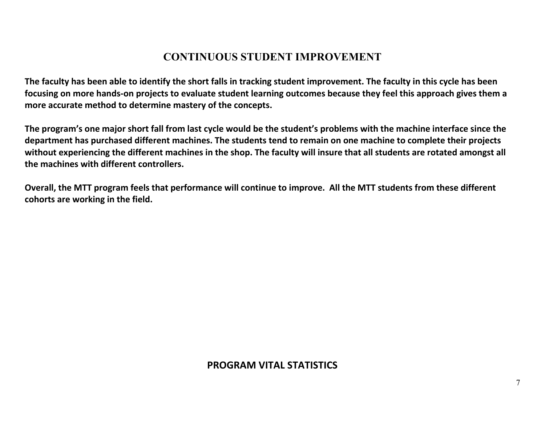#### **CONTINUOUS STUDENT IMPROVEMENT**

**The faculty has been able to identify the short falls in tracking student improvement. The faculty in this cycle has been focusing on more hands-on projects to evaluate student learning outcomes because they feel this approach gives them a more accurate method to determine mastery of the concepts.** 

**The program's one major short fall from last cycle would be the student's problems with the machine interface since the department has purchased different machines. The students tend to remain on one machine to complete their projects without experiencing the different machines in the shop. The faculty will insure that all students are rotated amongst all the machines with different controllers.** 

**Overall, the MTT program feels that performance will continue to improve. All the MTT students from these different cohorts are working in the field.**

#### **PROGRAM VITAL STATISTICS**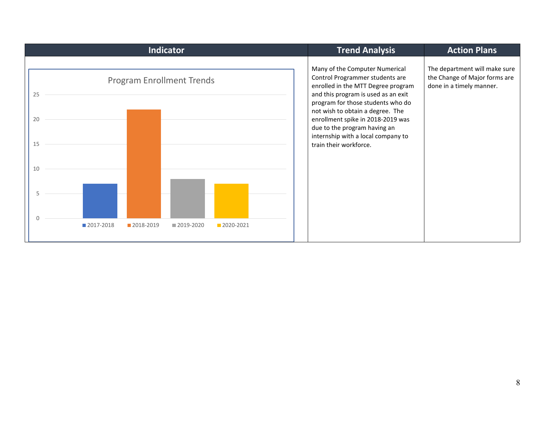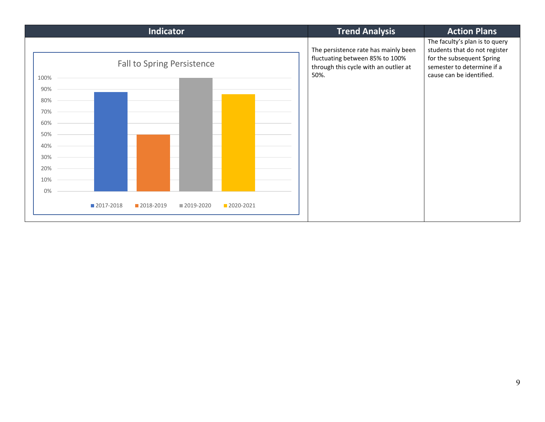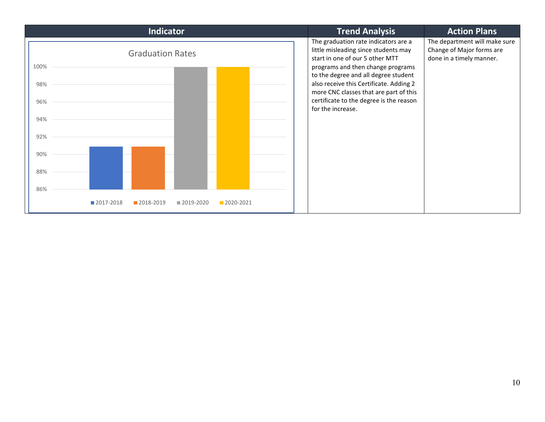| Indicator                             | <b>Trend Analysis</b>                                                                                                                                                                                                                                                                                                                             | <b>Action Plans</b>                                                                    |  |
|---------------------------------------|---------------------------------------------------------------------------------------------------------------------------------------------------------------------------------------------------------------------------------------------------------------------------------------------------------------------------------------------------|----------------------------------------------------------------------------------------|--|
| <b>Graduation Rates</b>               | The graduation rate indicators are a<br>little misleading since students may<br>start in one of our 5 other MTT<br>programs and then change programs<br>to the degree and all degree student<br>also receive this Certificate. Adding 2<br>more CNC classes that are part of this<br>certificate to the degree is the reason<br>for the increase. | The department will make sure<br>Change of Major forms are<br>done in a timely manner. |  |
| 100%<br>98%<br>96%<br>94%<br>92%      |                                                                                                                                                                                                                                                                                                                                                   |                                                                                        |  |
| 90%                                   |                                                                                                                                                                                                                                                                                                                                                   |                                                                                        |  |
| 88%<br>86%                            |                                                                                                                                                                                                                                                                                                                                                   |                                                                                        |  |
| 2017-2018<br>2018-2019<br>■ 2019-2020 | 2020-2021                                                                                                                                                                                                                                                                                                                                         |                                                                                        |  |